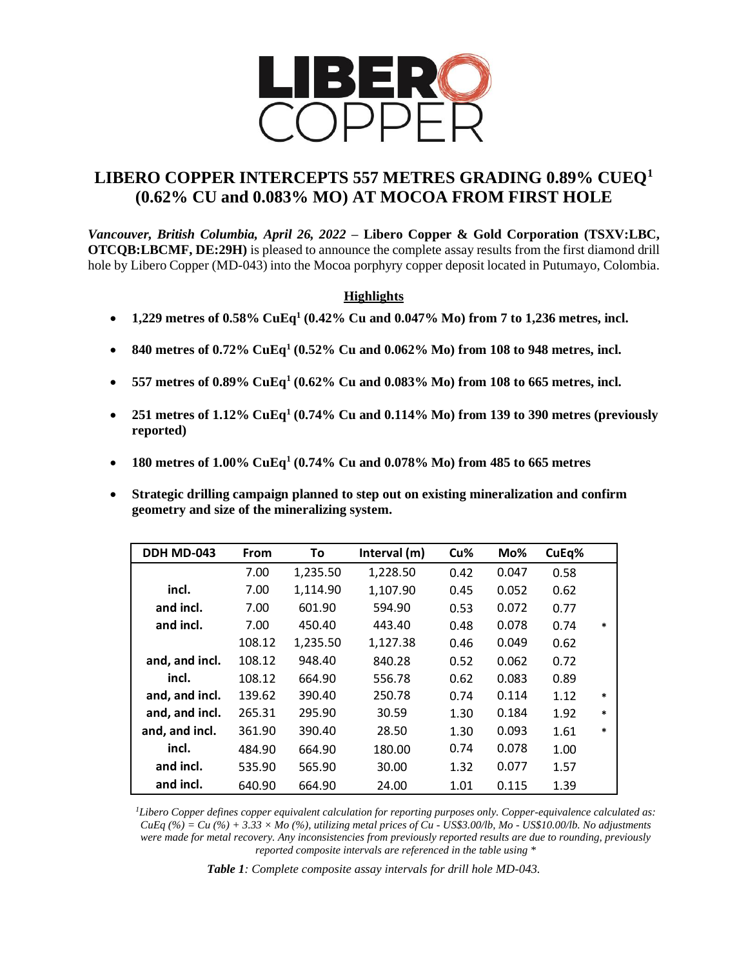

# **LIBERO COPPER INTERCEPTS 557 METRES GRADING 0.89% CUEQ<sup>1</sup> (0.62% CU and 0.083% MO) AT MOCOA FROM FIRST HOLE**

*Vancouver, British Columbia, April 26, 2022* **– Libero Copper & Gold Corporation (TSXV:LBC, OTCQB:LBCMF, DE:29H)** is pleased to announce the complete assay results from the first diamond drill hole by Libero Copper (MD-043) into the Mocoa porphyry copper deposit located in Putumayo, Colombia.

## **Highlights**

- **1,229 metres of 0.58% CuEq<sup>1</sup> (0.42% Cu and 0.047% Mo) from 7 to 1,236 metres, incl.**
- **840 metres of 0.72% CuEq<sup>1</sup> (0.52% Cu and 0.062% Mo) from 108 to 948 metres, incl.**
- **557 metres of 0.89% CuEq<sup>1</sup> (0.62% Cu and 0.083% Mo) from 108 to 665 metres, incl.**
- **251 metres of 1.12% CuEq<sup>1</sup> (0.74% Cu and 0.114% Mo) from 139 to 390 metres (previously reported)**
- **180 metres of 1.00% CuEq<sup>1</sup> (0.74% Cu and 0.078% Mo) from 485 to 665 metres**
- **Strategic drilling campaign planned to step out on existing mineralization and confirm geometry and size of the mineralizing system.**

| DDH MD-043     | From   | To       | Interval (m) | Cu%  | Mo%   | CuEq% |        |
|----------------|--------|----------|--------------|------|-------|-------|--------|
|                | 7.00   | 1,235.50 | 1,228.50     | 0.42 | 0.047 | 0.58  |        |
| incl.          | 7.00   | 1,114.90 | 1,107.90     | 0.45 | 0.052 | 0.62  |        |
| and incl.      | 7.00   | 601.90   | 594.90       | 0.53 | 0.072 | 0.77  |        |
| and incl.      | 7.00   | 450.40   | 443.40       | 0.48 | 0.078 | 0.74  | $\ast$ |
|                | 108.12 | 1,235.50 | 1,127.38     | 0.46 | 0.049 | 0.62  |        |
| and, and incl. | 108.12 | 948.40   | 840.28       | 0.52 | 0.062 | 0.72  |        |
| incl.          | 108.12 | 664.90   | 556.78       | 0.62 | 0.083 | 0.89  |        |
| and, and incl. | 139.62 | 390.40   | 250.78       | 0.74 | 0.114 | 1.12  | $\ast$ |
| and, and incl. | 265.31 | 295.90   | 30.59        | 1.30 | 0.184 | 1.92  | $\ast$ |
| and, and incl. | 361.90 | 390.40   | 28.50        | 1.30 | 0.093 | 1.61  | $\ast$ |
| incl.          | 484.90 | 664.90   | 180.00       | 0.74 | 0.078 | 1.00  |        |
| and incl.      | 535.90 | 565.90   | 30.00        | 1.32 | 0.077 | 1.57  |        |
| and incl.      | 640.90 | 664.90   | 24.00        | 1.01 | 0.115 | 1.39  |        |

*<sup>1</sup>Libero Copper defines copper equivalent calculation for reporting purposes only. Copper-equivalence calculated as: CuEq (%) = Cu (%) + 3.33 × Mo (%), utilizing metal prices of Cu - US\$3.00/lb, Mo - US\$10.00/lb. No adjustments were made for metal recovery. Any inconsistencies from previously reported results are due to rounding, previously reported composite intervals are referenced in the table using \**

*Table 1: Complete composite assay intervals for drill hole MD-043.*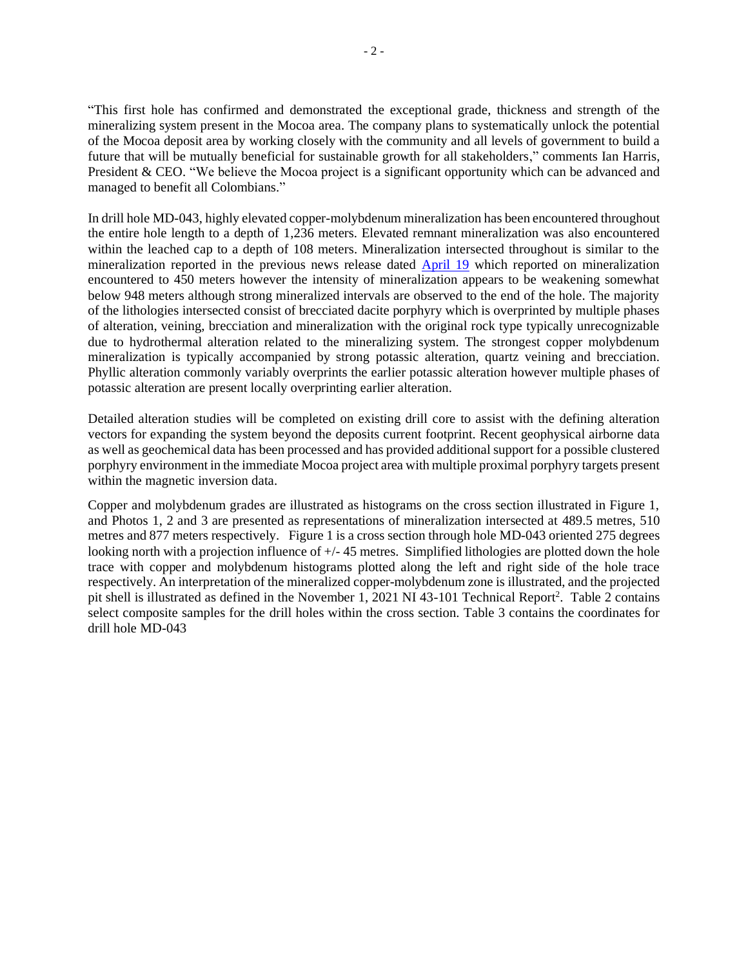"This first hole has confirmed and demonstrated the exceptional grade, thickness and strength of the mineralizing system present in the Mocoa area. The company plans to systematically unlock the potential of the Mocoa deposit area by working closely with the community and all levels of government to build a future that will be mutually beneficial for sustainable growth for all stakeholders," comments Ian Harris, President & CEO. "We believe the Mocoa project is a significant opportunity which can be advanced and managed to benefit all Colombians."

In drill hole MD-043, highly elevated copper-molybdenum mineralization has been encountered throughout the entire hole length to a depth of 1,236 meters. Elevated remnant mineralization was also encountered within the leached cap to a depth of 108 meters. Mineralization intersected throughout is similar to the mineralization reported in the previous news release dated [April 19](https://www.liberocopper.com/_resources/news/nr_20220419.pdf) which reported on mineralization encountered to 450 meters however the intensity of mineralization appears to be weakening somewhat below 948 meters although strong mineralized intervals are observed to the end of the hole. The majority of the lithologies intersected consist of brecciated dacite porphyry which is overprinted by multiple phases of alteration, veining, brecciation and mineralization with the original rock type typically unrecognizable due to hydrothermal alteration related to the mineralizing system. The strongest copper molybdenum mineralization is typically accompanied by strong potassic alteration, quartz veining and brecciation. Phyllic alteration commonly variably overprints the earlier potassic alteration however multiple phases of potassic alteration are present locally overprinting earlier alteration.

Detailed alteration studies will be completed on existing drill core to assist with the defining alteration vectors for expanding the system beyond the deposits current footprint. Recent geophysical airborne data as well as geochemical data has been processed and has provided additional support for a possible clustered porphyry environment in the immediate Mocoa project area with multiple proximal porphyry targets present within the magnetic inversion data.

Copper and molybdenum grades are illustrated as histograms on the cross section illustrated in Figure 1, and Photos 1, 2 and 3 are presented as representations of mineralization intersected at 489.5 metres, 510 metres and 877 meters respectively. Figure 1 is a cross section through hole MD-043 oriented 275 degrees looking north with a projection influence of  $+/- 45$  metres. Simplified lithologies are plotted down the hole trace with copper and molybdenum histograms plotted along the left and right side of the hole trace respectively. An interpretation of the mineralized copper-molybdenum zone is illustrated, and the projected pit shell is illustrated as defined in the November 1, 2021 NI 43-101 Technical Report<sup>2</sup>. Table 2 contains select composite samples for the drill holes within the cross section. Table 3 contains the coordinates for drill hole MD-043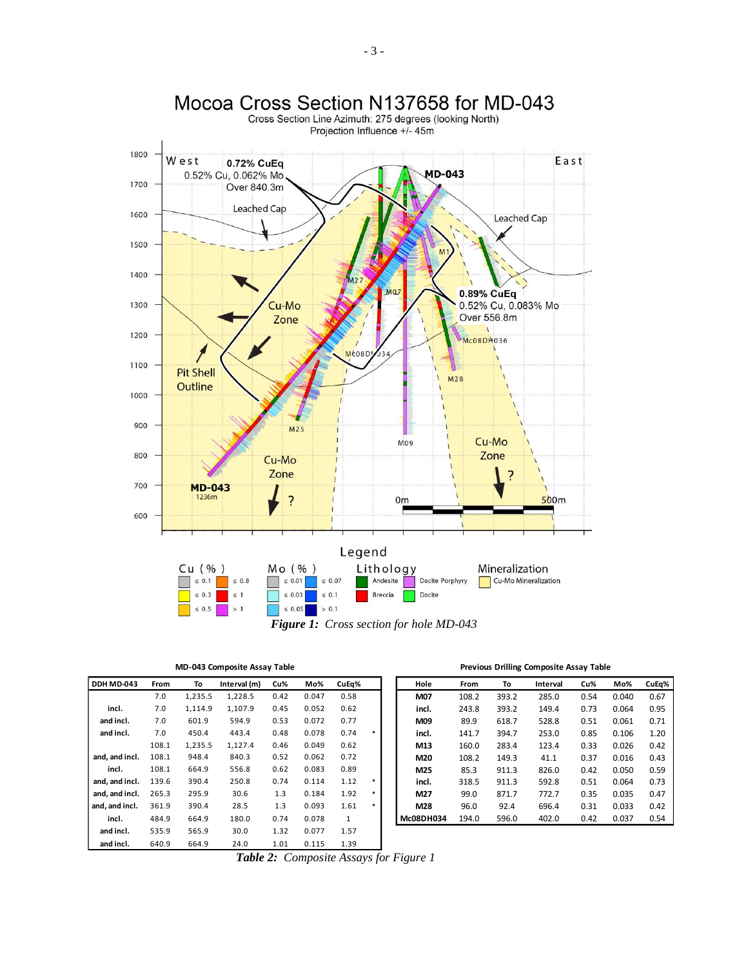

*Figure 1: Cross section for hole MD-043*

| DDH MD-043     | From  | To      | Interval (m) | Cu%  | Mo%   | CuEq%        |        | Hole      | From  | To    | Interval | Cu%  | Mo%   | CuEq% |
|----------------|-------|---------|--------------|------|-------|--------------|--------|-----------|-------|-------|----------|------|-------|-------|
|                | 7.0   | 1,235.5 | 1,228.5      | 0.42 | 0.047 | 0.58         |        | M07       | 108.2 | 393.2 | 285.0    | 0.54 | 0.040 | 0.67  |
| incl.          | 7.0   | 1,114.9 | 1,107.9      | 0.45 | 0.052 | 0.62         |        | incl.     | 243.8 | 393.2 | 149.4    | 0.73 | 0.064 | 0.95  |
| and incl.      | 7.0   | 601.9   | 594.9        | 0.53 | 0.072 | 0.77         |        | M09       | 89.9  | 618.7 | 528.8    | 0.51 | 0.061 | 0.71  |
| and incl.      | 7.0   | 450.4   | 443.4        | 0.48 | 0.078 | 0.74         | $\ast$ | incl.     | 141.7 | 394.7 | 253.0    | 0.85 | 0.106 | 1.20  |
|                | 108.1 | 1,235.5 | 1,127.4      | 0.46 | 0.049 | 0.62         |        | M13       | 160.0 | 283.4 | 123.4    | 0.33 | 0.026 | 0.42  |
| and, and incl. | 108.1 | 948.4   | 840.3        | 0.52 | 0.062 | 0.72         |        | M20       | 108.2 | 149.3 | 41.1     | 0.37 | 0.016 | 0.43  |
| incl.          | 108.1 | 664.9   | 556.8        | 0.62 | 0.083 | 0.89         |        | M25       | 85.3  | 911.3 | 826.0    | 0.42 | 0.050 | 0.59  |
| and, and incl. | 139.6 | 390.4   | 250.8        | 0.74 | 0.114 | 1.12         | $\ast$ | incl.     | 318.5 | 911.3 | 592.8    | 0.51 | 0.064 | 0.73  |
| and, and incl. | 265.3 | 295.9   | 30.6         | 1.3  | 0.184 | 1.92         | $\ast$ | M27       | 99.0  | 871.7 | 772.7    | 0.35 | 0.035 | 0.47  |
| and, and incl. | 361.9 | 390.4   | 28.5         | 1.3  | 0.093 | 1.61         | *      | M28       | 96.0  | 92.4  | 696.4    | 0.31 | 0.033 | 0.42  |
| incl.          | 484.9 | 664.9   | 180.0        | 0.74 | 0.078 | $\mathbf{1}$ |        | Mc08DH034 | 194.0 | 596.0 | 402.0    | 0.42 | 0.037 | 0.54  |
| and incl.      | 535.9 | 565.9   | 30.0         | 1.32 | 0.077 | 1.57         |        |           |       |       |          |      |       |       |
| and incl.      | 640.9 | 664.9   | 24.0         | 1.01 | 0.115 | 1.39         |        |           |       |       |          |      |       |       |

| <b>MD-043 Composite Assay Table</b> | <b>Previous Drilling Composite Assay Table</b> |
|-------------------------------------|------------------------------------------------|
|-------------------------------------|------------------------------------------------|

| From  | To      | Interval (m) | Cu%  | Mo%   | CuEq%        |   | Hole      | From  | To    | Interval | Cu%  | Mo%   | CuEq% |
|-------|---------|--------------|------|-------|--------------|---|-----------|-------|-------|----------|------|-------|-------|
| 7.0   | 1,235.5 | 1,228.5      | 0.42 | 0.047 | 0.58         |   | M07       | 108.2 | 393.2 | 285.0    | 0.54 | 0.040 | 0.67  |
| 7.0   | 1.114.9 | 1.107.9      | 0.45 | 0.052 | 0.62         |   | incl.     | 243.8 | 393.2 | 149.4    | 0.73 | 0.064 | 0.95  |
| 7.0   | 601.9   | 594.9        | 0.53 | 0.072 | 0.77         |   | M09       | 89.9  | 618.7 | 528.8    | 0.51 | 0.061 | 0.71  |
| 7.0   | 450.4   | 443.4        | 0.48 | 0.078 | 0.74         |   | incl.     | 141.7 | 394.7 | 253.0    | 0.85 | 0.106 | 1.20  |
| 108.1 | 1.235.5 | 1.127.4      | 0.46 | 0.049 | 0.62         |   | M13       | 160.0 | 283.4 | 123.4    | 0.33 | 0.026 | 0.42  |
| 108.1 | 948.4   | 840.3        | 0.52 | 0.062 | 0.72         |   | M20       | 108.2 | 149.3 | 41.1     | 0.37 | 0.016 | 0.43  |
| 108.1 | 664.9   | 556.8        | 0.62 | 0.083 | 0.89         |   | M25       | 85.3  | 911.3 | 826.0    | 0.42 | 0.050 | 0.59  |
| 139.6 | 390.4   | 250.8        | 0.74 | 0.114 | 1.12         | * | incl.     | 318.5 | 911.3 | 592.8    | 0.51 | 0.064 | 0.73  |
| 265.3 | 295.9   | 30.6         | 1.3  | 0.184 | 1.92         | * | M27       | 99.0  | 871.7 | 772.7    | 0.35 | 0.035 | 0.47  |
| 361.9 | 390.4   | 28.5         | 1.3  | 0.093 | 1.61         | * | M28       | 96.0  | 92.4  | 696.4    | 0.31 | 0.033 | 0.42  |
| 484.9 | 664.9   | 180.0        | 0.74 | 0.078 | $\mathbf{1}$ |   | Mc08DH034 | 194.0 | 596.0 | 402.0    | 0.42 | 0.037 | 0.54  |

*Table 2: Composite Assays for Figure 1*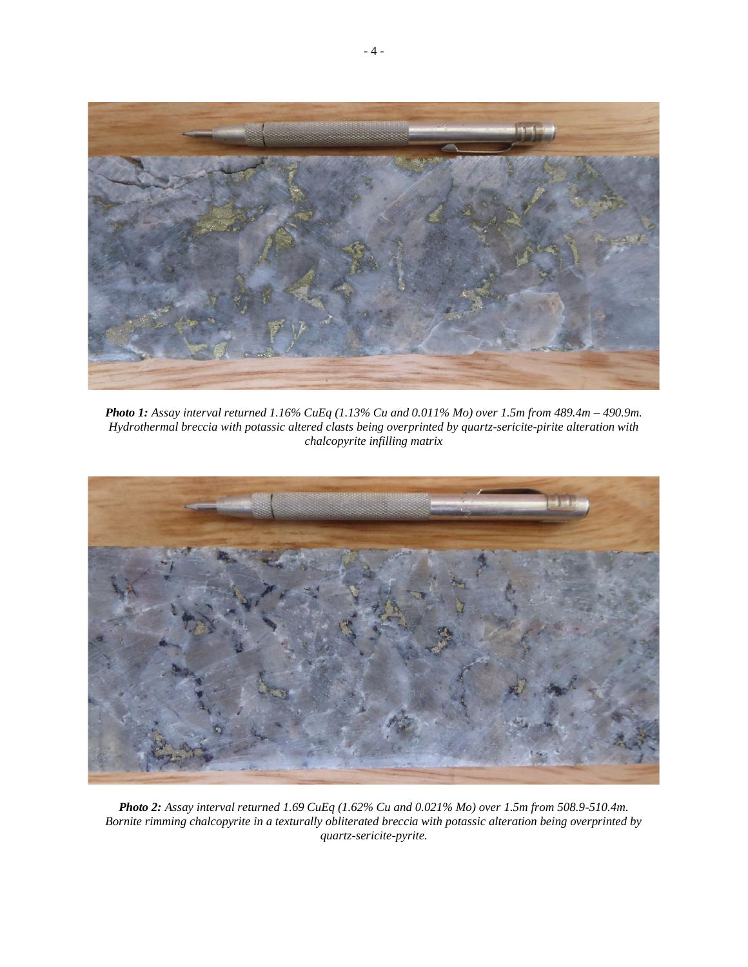

*Photo 1: Assay interval returned 1.16% CuEq (1.13% Cu and 0.011% Mo) over 1.5m from 489.4m – 490.9m. Hydrothermal breccia with potassic altered clasts being overprinted by quartz-sericite-pirite alteration with chalcopyrite infilling matrix*



*Photo 2: Assay interval returned 1.69 CuEq (1.62% Cu and 0.021% Mo) over 1.5m from 508.9-510.4m. Bornite rimming chalcopyrite in a texturally obliterated breccia with potassic alteration being overprinted by quartz-sericite-pyrite.*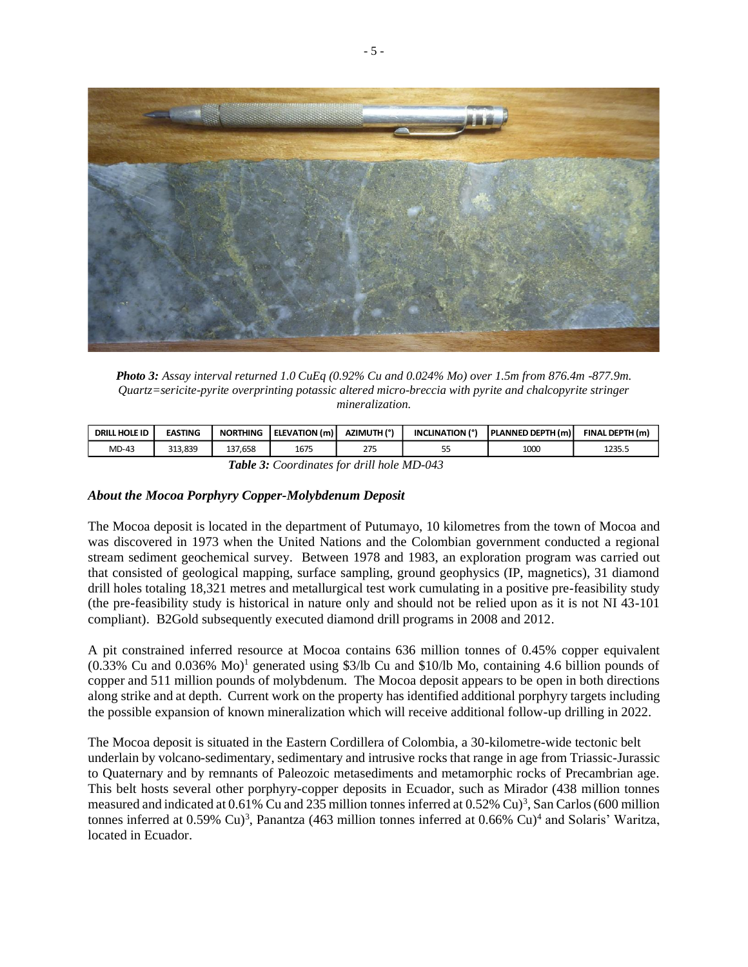

*Photo 3: Assay interval returned 1.0 CuEq (0.92% Cu and 0.024% Mo) over 1.5m from 876.4m -877.9m. Quartz=sericite-pyrite overprinting potassic altered micro-breccia with pyrite and chalcopyrite stringer mineralization.*

| . HOLE ID<br><b>DRILL</b> | <b>EASTING</b> | <b>NORTHING</b> | ELEVATION (m) | AZIMUTH (°) | <b>INCLINATION (°)</b> | <b>PLANNED DEPTH (m)</b> | FINAL DEPTH (m) |
|---------------------------|----------------|-----------------|---------------|-------------|------------------------|--------------------------|-----------------|
| MD-43                     | 313.839        | 7.658<br>137    | 1675          | つつ<br>213   | --<br>ر ر              | 1000                     | つつこく<br>12JJ.J  |

| Table 3: Coordinates for drill hole MD-043 |  |  |  |
|--------------------------------------------|--|--|--|
|                                            |  |  |  |

### *About the Mocoa Porphyry Copper-Molybdenum Deposit*

The Mocoa deposit is located in the department of Putumayo, 10 kilometres from the town of Mocoa and was discovered in 1973 when the United Nations and the Colombian government conducted a regional stream sediment geochemical survey. Between 1978 and 1983, an exploration program was carried out that consisted of geological mapping, surface sampling, ground geophysics (IP, magnetics), 31 diamond drill holes totaling 18,321 metres and metallurgical test work cumulating in a positive pre-feasibility study (the pre-feasibility study is historical in nature only and should not be relied upon as it is not NI 43-101 compliant). B2Gold subsequently executed diamond drill programs in 2008 and 2012.

A pit constrained inferred resource at Mocoa contains 636 million tonnes of 0.45% copper equivalent  $(0.33\%$  Cu and  $0.036\%$  Mo<sup>1</sup> generated using \$3/lb Cu and \$10/lb Mo, containing 4.6 billion pounds of copper and 511 million pounds of molybdenum. The Mocoa deposit appears to be open in both directions along strike and at depth. Current work on the property has identified additional porphyry targets including the possible expansion of known mineralization which will receive additional follow-up drilling in 2022.

The Mocoa deposit is situated in the Eastern Cordillera of Colombia, a 30-kilometre-wide tectonic belt underlain by volcano-sedimentary, sedimentary and intrusive rocks that range in age from Triassic-Jurassic to Quaternary and by remnants of Paleozoic metasediments and metamorphic rocks of Precambrian age. This belt hosts several other porphyry-copper deposits in Ecuador, such as Mirador (438 million tonnes measured and indicated at 0.61% Cu and 235 million tonnes inferred at  $0.52\%$  Cu)<sup>3</sup>, San Carlos (600 million tonnes inferred at  $0.59\%$  Cu)<sup>3</sup>, Panantza (463 million tonnes inferred at  $0.66\%$  Cu)<sup>4</sup> and Solaris' Waritza, located in Ecuador.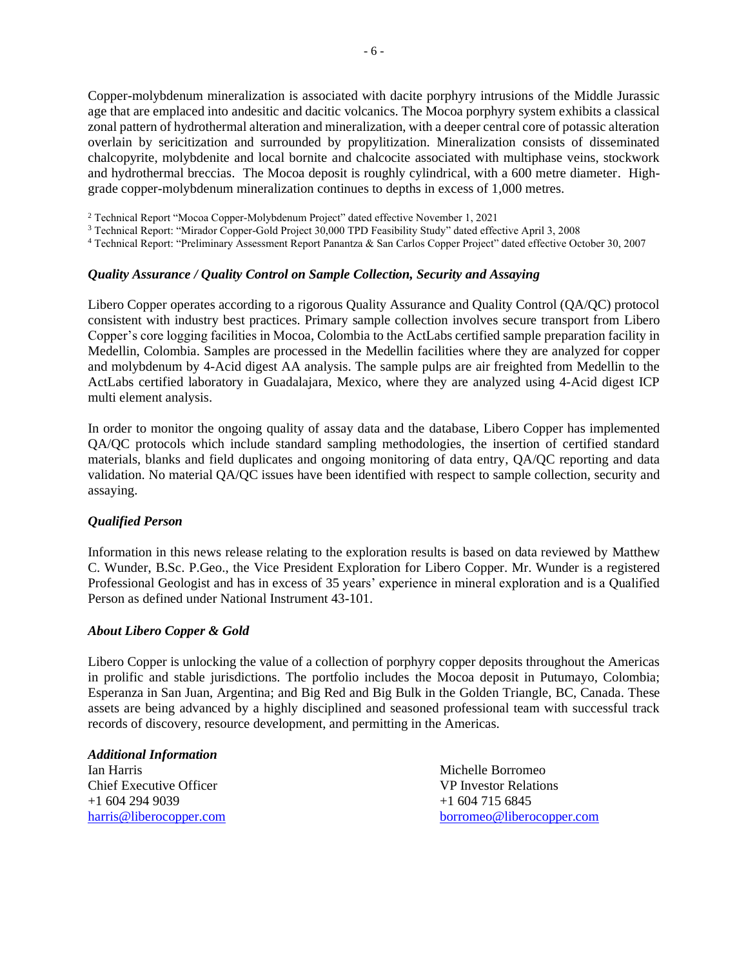Copper-molybdenum mineralization is associated with dacite porphyry intrusions of the Middle Jurassic age that are emplaced into andesitic and dacitic volcanics. The Mocoa porphyry system exhibits a classical zonal pattern of hydrothermal alteration and mineralization, with a deeper central core of potassic alteration overlain by sericitization and surrounded by propylitization. Mineralization consists of disseminated chalcopyrite, molybdenite and local bornite and chalcocite associated with multiphase veins, stockwork and hydrothermal breccias. The Mocoa deposit is roughly cylindrical, with a 600 metre diameter. Highgrade copper-molybdenum mineralization continues to depths in excess of 1,000 metres.

<sup>2</sup> Technical Report "Mocoa Copper-Molybdenum Project" dated effective November 1, 2021

<sup>3</sup> Technical Report: "Mirador Copper-Gold Project 30,000 TPD Feasibility Study" dated effective April 3, 2008

<sup>4</sup> Technical Report: "Preliminary Assessment Report Panantza & San Carlos Copper Project" dated effective October 30, 2007

### *Quality Assurance / Quality Control on Sample Collection, Security and Assaying*

Libero Copper operates according to a rigorous Quality Assurance and Quality Control (QA/QC) protocol consistent with industry best practices. Primary sample collection involves secure transport from Libero Copper's core logging facilities in Mocoa, Colombia to the ActLabs certified sample preparation facility in Medellin, Colombia. Samples are processed in the Medellin facilities where they are analyzed for copper and molybdenum by 4-Acid digest AA analysis. The sample pulps are air freighted from Medellin to the ActLabs certified laboratory in Guadalajara, Mexico, where they are analyzed using 4-Acid digest ICP multi element analysis.

In order to monitor the ongoing quality of assay data and the database, Libero Copper has implemented QA/QC protocols which include standard sampling methodologies, the insertion of certified standard materials, blanks and field duplicates and ongoing monitoring of data entry, QA/QC reporting and data validation. No material QA/QC issues have been identified with respect to sample collection, security and assaying.

### *Qualified Person*

Information in this news release relating to the exploration results is based on data reviewed by Matthew C. Wunder, B.Sc. P.Geo., the Vice President Exploration for Libero Copper. Mr. Wunder is a registered Professional Geologist and has in excess of 35 years' experience in mineral exploration and is a Qualified Person as defined under National Instrument 43-101.

### *About Libero Copper & Gold*

Libero Copper is unlocking the value of a collection of porphyry copper deposits throughout the Americas in prolific and stable jurisdictions. The portfolio includes the Mocoa deposit in Putumayo, Colombia; Esperanza in San Juan, Argentina; and Big Red and Big Bulk in the Golden Triangle, BC, Canada. These assets are being advanced by a highly disciplined and seasoned professional team with successful track records of discovery, resource development, and permitting in the Americas.

#### *Additional Information*

Ian Harris Michelle Borromeo Chief Executive Officer VP Investor Relations +1 604 294 9039 +1 604 715 6845

[harris@liberocopper.com](mailto:harris@liberocopper.com) [borromeo@liberocopper.com](mailto:borromeo@liberocopper.com)